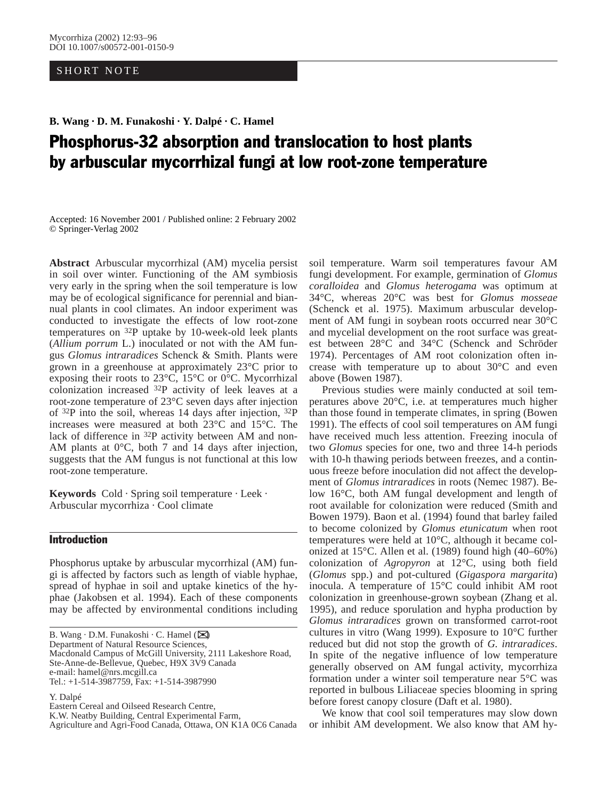## SHORT NOTE

**B. Wang · D. M. Funakoshi · Y. Dalpé · C. Hamel**

# Phosphorus-32 absorption and translocation to host plants by arbuscular mycorrhizal fungi at low root-zone temperature

Accepted: 16 November 2001 / Published online: 2 February 2002 © Springer-Verlag 2002

**Abstract** Arbuscular mycorrhizal (AM) mycelia persist in soil over winter. Functioning of the AM symbiosis very early in the spring when the soil temperature is low may be of ecological significance for perennial and biannual plants in cool climates. An indoor experiment was conducted to investigate the effects of low root-zone temperatures on 32P uptake by 10-week-old leek plants (*Allium porrum* L.) inoculated or not with the AM fungus *Glomus intraradices* Schenck & Smith. Plants were grown in a greenhouse at approximately 23°C prior to exposing their roots to 23°C, 15°C or 0°C. Mycorrhizal colonization increased 32P activity of leek leaves at a root-zone temperature of 23°C seven days after injection of 32P into the soil, whereas 14 days after injection, 32P increases were measured at both 23°C and 15°C. The lack of difference in 32P activity between AM and non-AM plants at 0°C, both 7 and 14 days after injection, suggests that the AM fungus is not functional at this low root-zone temperature.

**Keywords** Cold · Spring soil temperature · Leek · Arbuscular mycorrhiza · Cool climate

## Introduction

Phosphorus uptake by arbuscular mycorrhizal (AM) fungi is affected by factors such as length of viable hyphae, spread of hyphae in soil and uptake kinetics of the hyphae (Jakobsen et al. 1994). Each of these components may be affected by environmental conditions including

B. Wang · D.M. Funakoshi · C. Hamel ( $\boxtimes$ )

Department of Natural Resource Sciences,

Macdonald Campus of McGill University, 2111 Lakeshore Road, Ste-Anne-de-Bellevue, Quebec, H9X 3V9 Canada e-mail: hamel@nrs.mcgill.ca

Tel.: +1-514-3987759, Fax: +1-514-3987990

Y. Dalpé

Eastern Cereal and Oilseed Research Centre,

K.W. Neatby Building, Central Experimental Farm,

Agriculture and Agri-Food Canada, Ottawa, ON K1A 0C6 Canada

soil temperature. Warm soil temperatures favour AM fungi development. For example, germination of *Glomus coralloidea* and *Glomus heterogama* was optimum at 34°C, whereas 20°C was best for *Glomus mosseae* (Schenck et al. 1975). Maximum arbuscular development of AM fungi in soybean roots occurred near 30°C and mycelial development on the root surface was greatest between 28°C and 34°C (Schenck and Schröder 1974). Percentages of AM root colonization often increase with temperature up to about 30°C and even above (Bowen 1987).

Previous studies were mainly conducted at soil temperatures above 20°C, i.e. at temperatures much higher than those found in temperate climates, in spring (Bowen 1991). The effects of cool soil temperatures on AM fungi have received much less attention. Freezing inocula of two *Glomus* species for one, two and three 14-h periods with 10-h thawing periods between freezes, and a continuous freeze before inoculation did not affect the development of *Glomus intraradices* in roots (Nemec 1987). Below 16°C, both AM fungal development and length of root available for colonization were reduced (Smith and Bowen 1979). Baon et al. (1994) found that barley failed to become colonized by *Glomus etunicatum* when root temperatures were held at 10°C, although it became colonized at 15°C. Allen et al. (1989) found high (40–60%) colonization of *Agropyron* at 12°C, using both field (*Glomus* spp.) and pot-cultured (*Gigaspora margarita*) inocula. A temperature of 15°C could inhibit AM root colonization in greenhouse-grown soybean (Zhang et al. 1995), and reduce sporulation and hypha production by *Glomus intraradices* grown on transformed carrot-root cultures in vitro (Wang 1999). Exposure to 10°C further reduced but did not stop the growth of *G. intraradices*. In spite of the negative influence of low temperature generally observed on AM fungal activity, mycorrhiza formation under a winter soil temperature near 5°C was reported in bulbous Liliaceae species blooming in spring before forest canopy closure (Daft et al. 1980).

We know that cool soil temperatures may slow down or inhibit AM development. We also know that AM hy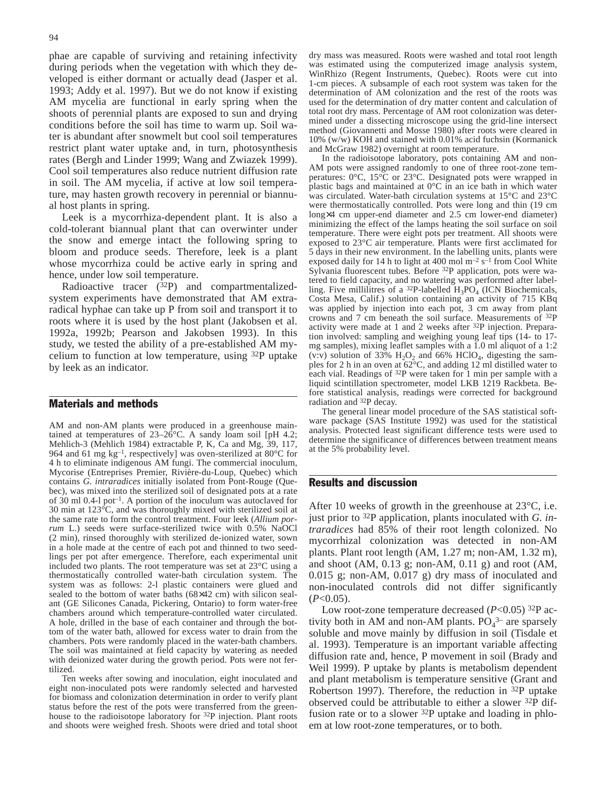phae are capable of surviving and retaining infectivity during periods when the vegetation with which they developed is either dormant or actually dead (Jasper et al. 1993; Addy et al. 1997). But we do not know if existing AM mycelia are functional in early spring when the shoots of perennial plants are exposed to sun and drying conditions before the soil has time to warm up. Soil water is abundant after snowmelt but cool soil temperatures restrict plant water uptake and, in turn, photosynthesis rates (Bergh and Linder 1999; Wang and Zwiazek 1999). Cool soil temperatures also reduce nutrient diffusion rate in soil. The AM mycelia, if active at low soil temperature, may hasten growth recovery in perennial or biannual host plants in spring.

Leek is a mycorrhiza-dependent plant. It is also a cold-tolerant biannual plant that can overwinter under the snow and emerge intact the following spring to bloom and produce seeds. Therefore, leek is a plant whose mycorrhiza could be active early in spring and hence, under low soil temperature.

Radioactive tracer (32P) and compartmentalizedsystem experiments have demonstrated that AM extraradical hyphae can take up P from soil and transport it to roots where it is used by the host plant (Jakobsen et al. 1992a, 1992b; Pearson and Jakobsen 1993). In this study, we tested the ability of a pre-established AM mycelium to function at low temperature, using 32P uptake by leek as an indicator.

## Materials and methods

AM and non-AM plants were produced in a greenhouse maintained at temperatures of 23-26°C. A sandy loam soil [pH 4.2; Mehlich-3 (Mehlich 1984) extractable P, K, Ca and Mg, 39, 117, 964 and 61 mg kg–1, respectively] was oven-sterilized at 80°C for 4 h to eliminate indigenous AM fungi. The commercial inoculum, Mycorise (Entreprises Premier, Rivière-du-Loup, Quebec) which contains *G. intraradices* initially isolated from Pont-Rouge (Quebec), was mixed into the sterilized soil of designated pots at a rate of 30 ml 0.4-l pot–1. A portion of the inoculum was autoclaved for 30 min at 123°C, and was thoroughly mixed with sterilized soil at the same rate to form the control treatment. Four leek (*Allium porrum* L.) seeds were surface-sterilized twice with 0.5% NaOCl (2 min), rinsed thoroughly with sterilized de-ionized water, sown in a hole made at the centre of each pot and thinned to two seedlings per pot after emergence. Therefore, each experimental unit included two plants. The root temperature was set at 23°C using a thermostatically controlled water-bath circulation system. The system was as follows: 2-l plastic containers were glued and sealed to the bottom of water baths (68×42 cm) with silicon sealant (GE Silicones Canada, Pickering, Ontario) to form water-free chambers around which temperature-controlled water circulated. A hole, drilled in the base of each container and through the bottom of the water bath, allowed for excess water to drain from the chambers. Pots were randomly placed in the water-bath chambers. The soil was maintained at field capacity by watering as needed with deionized water during the growth period. Pots were not fertilized.

Ten weeks after sowing and inoculation, eight inoculated and eight non-inoculated pots were randomly selected and harvested for biomass and colonization determination in order to verify plant status before the rest of the pots were transferred from the greenhouse to the radioisotope laboratory for 32P injection. Plant roots and shoots were weighed fresh. Shoots were dried and total shoot

dry mass was measured. Roots were washed and total root length was estimated using the computerized image analysis system, WinRhizo (Regent Instruments, Quebec). Roots were cut into 1-cm pieces. A subsample of each root system was taken for the determination of AM colonization and the rest of the roots was used for the determination of dry matter content and calculation of total root dry mass. Percentage of AM root colonization was determined under a dissecting microscope using the grid-line intersect method (Giovannetti and Mosse 1980) after roots were cleared in 10% (w/w) KOH and stained with 0.01% acid fuchsin (Kormanick and McGraw 1982) overnight at room temperature.

In the radioisotope laboratory, pots containing AM and non-AM pots were assigned randomly to one of three root-zone temperatures: 0°C, 15°C or 23°C. Designated pots were wrapped in plastic bags and maintained at 0°C in an ice bath in which water was circulated. Water-bath circulation systems at 15°C and 23°C were thermostatically controlled. Pots were long and thin (19 cm long×4 cm upper-end diameter and 2.5 cm lower-end diameter) minimizing the effect of the lamps heating the soil surface on soil temperature. There were eight pots per treatment. All shoots were exposed to 23°C air temperature. Plants were first acclimated for 5 days in their new environment. In the labelling units, plants were exposed daily for 14 h to light at 400 mol  $m^{-2} s^{-1}$  from Cool White Sylvania fluorescent tubes. Before 32P application, pots were watered to field capacity, and no watering was performed after labelling. Five millilitres of a <sup>32</sup>P-labelled  $H_3PO<sub>4</sub>$  (ICN Biochemicals, Costa Mesa, Calif.) solution containing an activity of 715 KBq was applied by injection into each pot, 3 cm away from plant crowns and 7 cm beneath the soil surface. Measurements of 32P activity were made at 1 and 2 weeks after 32P injection. Preparation involved: sampling and weighing young leaf tips (14- to 17 mg samples), mixing leaflet samples with a 1.0 ml aliquot of a 1:2 (v:v) solution of 33%  $H_2O_2$  and 66% HClO<sub>4</sub>, digesting the samples for 2 h in an oven at  $62^{\circ}$ C, and adding 12 ml distilled water to each vial. Readings of 32P were taken for 1 min per sample with a liquid scintillation spectrometer, model LKB 1219 Rackbeta. Before statistical analysis, readings were corrected for background radiation and 32P decay.

The general linear model procedure of the SAS statistical software package (SAS Institute 1992) was used for the statistical analysis. Protected least significant difference tests were used to determine the significance of differences between treatment means at the 5% probability level.

## Results and discussion

After 10 weeks of growth in the greenhouse at 23°C, i.e. just prior to 32P application, plants inoculated with *G. intraradices* had 85% of their root length colonized. No mycorrhizal colonization was detected in non-AM plants. Plant root length (AM, 1.27 m; non-AM, 1.32 m), and shoot  $(AM, 0.13$  g; non-AM,  $0.11$  g) and root  $(AM,$ 0.015 g; non-AM, 0.017 g) dry mass of inoculated and non-inoculated controls did not differ significantly (*P*<0.05).

Low root-zone temperature decreased (*P*<0.05) 32P activity both in AM and non-AM plants.  $PO<sub>4</sub><sup>3-</sup>$  are sparsely soluble and move mainly by diffusion in soil (Tisdale et al. 1993). Temperature is an important variable affecting diffusion rate and, hence, P movement in soil (Brady and Weil 1999). P uptake by plants is metabolism dependent and plant metabolism is temperature sensitive (Grant and Robertson 1997). Therefore, the reduction in 32P uptake observed could be attributable to either a slower 32P diffusion rate or to a slower <sup>32</sup>P uptake and loading in phloem at low root-zone temperatures, or to both.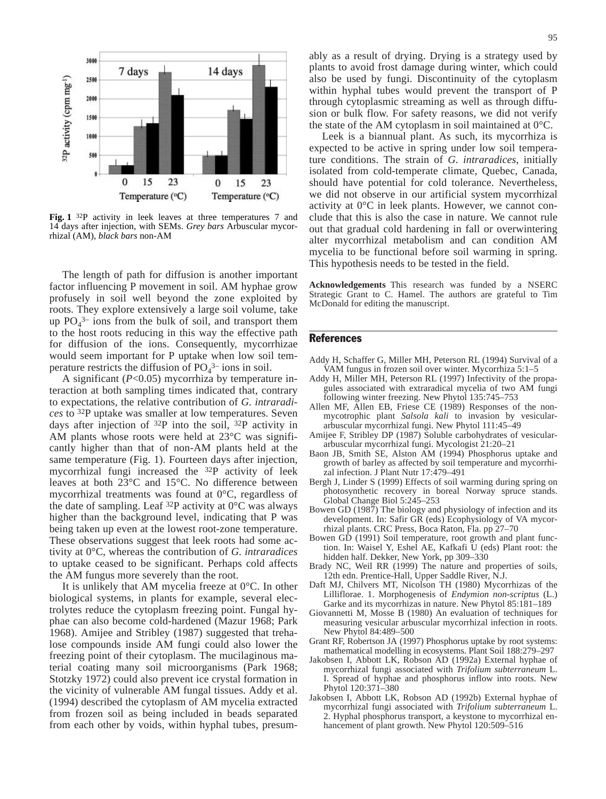

**Fig. 1** 32P activity in leek leaves at three temperatures 7 and 14 days after injection, with SEMs. *Grey bars* Arbuscular mycorrhizal (AM), *black bars* non-AM

The length of path for diffusion is another important factor influencing P movement in soil. AM hyphae grow profusely in soil well beyond the zone exploited by roots. They explore extensively a large soil volume, take up  $PO_4^{3-}$  ions from the bulk of soil, and transport them to the host roots reducing in this way the effective path for diffusion of the ions. Consequently, mycorrhizae would seem important for P uptake when low soil temperature restricts the diffusion of  $PO<sub>4</sub><sup>3-</sup> ions$  in soil.

A significant (*P*<0.05) mycorrhiza by temperature interaction at both sampling times indicated that, contrary to expectations, the relative contribution of *G. intraradices* to 32P uptake was smaller at low temperatures. Seven days after injection of 32P into the soil, 32P activity in AM plants whose roots were held at 23°C was significantly higher than that of non-AM plants held at the same temperature (Fig. 1). Fourteen days after injection, mycorrhizal fungi increased the 32P activity of leek leaves at both 23°C and 15°C. No difference between mycorrhizal treatments was found at 0°C, regardless of the date of sampling. Leaf  $32P$  activity at  $0^{\circ}C$  was always higher than the background level, indicating that P was being taken up even at the lowest root-zone temperature. These observations suggest that leek roots had some activity at 0°C, whereas the contribution of *G. intraradices* to uptake ceased to be significant. Perhaps cold affects the AM fungus more severely than the root.

It is unlikely that AM mycelia freeze at 0°C. In other biological systems, in plants for example, several electrolytes reduce the cytoplasm freezing point. Fungal hyphae can also become cold-hardened (Mazur 1968; Park 1968). Amijee and Stribley (1987) suggested that trehalose compounds inside AM fungi could also lower the freezing point of their cytoplasm. The mucilaginous material coating many soil microorganisms (Park 1968; Stotzky 1972) could also prevent ice crystal formation in the vicinity of vulnerable AM fungal tissues. Addy et al. (1994) described the cytoplasm of AM mycelia extracted from frozen soil as being included in beads separated from each other by voids, within hyphal tubes, presumably as a result of drying. Drying is a strategy used by plants to avoid frost damage during winter, which could also be used by fungi. Discontinuity of the cytoplasm within hyphal tubes would prevent the transport of P through cytoplasmic streaming as well as through diffusion or bulk flow. For safety reasons, we did not verify the state of the AM cytoplasm in soil maintained at 0°C.

Leek is a biannual plant. As such, its mycorrhiza is expected to be active in spring under low soil temperature conditions. The strain of *G. intraradices*, initially isolated from cold-temperate climate, Quebec, Canada, should have potential for cold tolerance. Nevertheless, we did not observe in our artificial system mycorrhizal activity at 0°C in leek plants. However, we cannot conclude that this is also the case in nature. We cannot rule out that gradual cold hardening in fall or overwintering alter mycorrhizal metabolism and can condition AM mycelia to be functional before soil warming in spring. This hypothesis needs to be tested in the field.

**Acknowledgements** This research was funded by a NSERC Strategic Grant to C. Hamel. The authors are grateful to Tim McDonald for editing the manuscript.

## **References**

- Addy H, Schaffer G, Miller MH, Peterson RL (1994) Survival of a VAM fungus in frozen soil over winter. Mycorrhiza 5:1–5
- Addy H, Miller MH, Peterson RL (1997) Infectivity of the propagules associated with extraradical mycelia of two AM fungi following winter freezing. New Phytol 135:745–753
- Allen MF, Allen EB, Friese CE (1989) Responses of the nonmycotrophic plant *Salsola kali* to invasion by vesiculararbuscular mycorrhizal fungi. New Phytol 111:45–49
- Amijee F, Stribley DP (1987) Soluble carbohydrates of vesiculararbuscular mycorrhizal fungi. Mycologist 21:20–21
- Baon JB, Smith SE, Alston AM (1994) Phosphorus uptake and growth of barley as affected by soil temperature and mycorrhizal infection. J Plant Nutr 17:479–491
- Bergh J, Linder S (1999) Effects of soil warming during spring on photosynthetic recovery in boreal Norway spruce stands. Global Change Biol 5:245–253
- Bowen GD (1987) The biology and physiology of infection and its development. In: Safir GR (eds) Ecophysiology of VA mycorrhizal plants. CRC Press, Boca Raton, Fla. pp 27–70
- Bowen GD (1991) Soil temperature, root growth and plant function. In: Waisel Y, Eshel AE, Kafkafi U (eds) Plant root: the hidden half. Dekker, New York, pp 309–330
- Brady NC, Weil RR (1999) The nature and properties of soils, 12th edn. Prentice-Hall, Upper Saddle River, N.J.
- Daft MJ, Chilvers MT, Nicolson TH (1980) Mycorrhizas of the Lilliflorae. 1. Morphogenesis of *Endymion non-scriptus* (L.) Garke and its mycorrhizas in nature. New Phytol 85:181–189
- Giovannetti M, Mosse B (1980) An evaluation of techniques for measuring vesicular arbuscular mycorrhizal infection in roots. New Phytol 84:489–500
- Grant RF, Robertson JA (1997) Phosphorus uptake by root systems: mathematical modelling in ecosystems. Plant Soil 188:279–297
- Jakobsen I, Abbott LK, Robson AD (1992a) External hyphae of mycorrhizal fungi associated with *Trifolium subterraneum* L. I. Spread of hyphae and phosphorus inflow into roots. New Phytol 120:371–380
- Jakobsen I, Abbott LK, Robson AD (1992b) External hyphae of mycorrhizal fungi associated with *Trifolium subterraneum* L. 2. Hyphal phosphorus transport, a keystone to mycorrhizal enhancement of plant growth. New Phytol 120:509–516